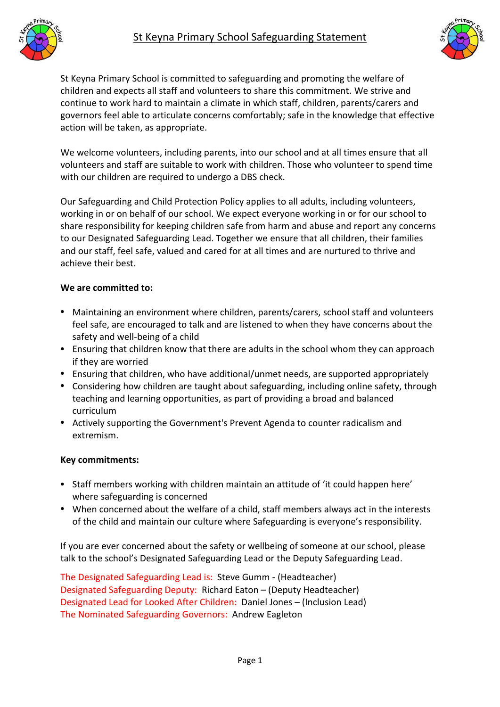



St Keyna Primary School is committed to safeguarding and promoting the welfare of children and expects all staff and volunteers to share this commitment. We strive and continue to work hard to maintain a climate in which staff, children, parents/carers and governors feel able to articulate concerns comfortably; safe in the knowledge that effective action will be taken, as appropriate.

We welcome volunteers, including parents, into our school and at all times ensure that all volunteers and staff are suitable to work with children. Those who volunteer to spend time with our children are required to undergo a DBS check.

Our Safeguarding and Child Protection Policy applies to all adults, including volunteers, working in or on behalf of our school. We expect everyone working in or for our school to share responsibility for keeping children safe from harm and abuse and report any concerns to our Designated Safeguarding Lead. Together we ensure that all children, their families and our staff, feel safe, valued and cared for at all times and are nurtured to thrive and achieve their best.

## **We are committed to:**

- Maintaining an environment where children, parents/carers, school staff and volunteers feel safe, are encouraged to talk and are listened to when they have concerns about the safety and well-being of a child
- Ensuring that children know that there are adults in the school whom they can approach if they are worried
- Ensuring that children, who have additional/unmet needs, are supported appropriately
- Considering how children are taught about safeguarding, including online safety, through teaching and learning opportunities, as part of providing a broad and balanced curriculum
- Actively supporting the Government's Prevent Agenda to counter radicalism and extremism.

## **Key commitments:**

- Staff members working with children maintain an attitude of 'it could happen here' where safeguarding is concerned
- When concerned about the welfare of a child, staff members always act in the interests of the child and maintain our culture where Safeguarding is everyone's responsibility.

If you are ever concerned about the safety or wellbeing of someone at our school, please talk to the school's Designated Safeguarding Lead or the Deputy Safeguarding Lead.

The Designated Safeguarding Lead is: Steve Gumm - (Headteacher) Designated Safeguarding Deputy: Richard Eaton – (Deputy Headteacher) Designated Lead for Looked After Children: Daniel Jones – (Inclusion Lead) The Nominated Safeguarding Governors: Andrew Eagleton